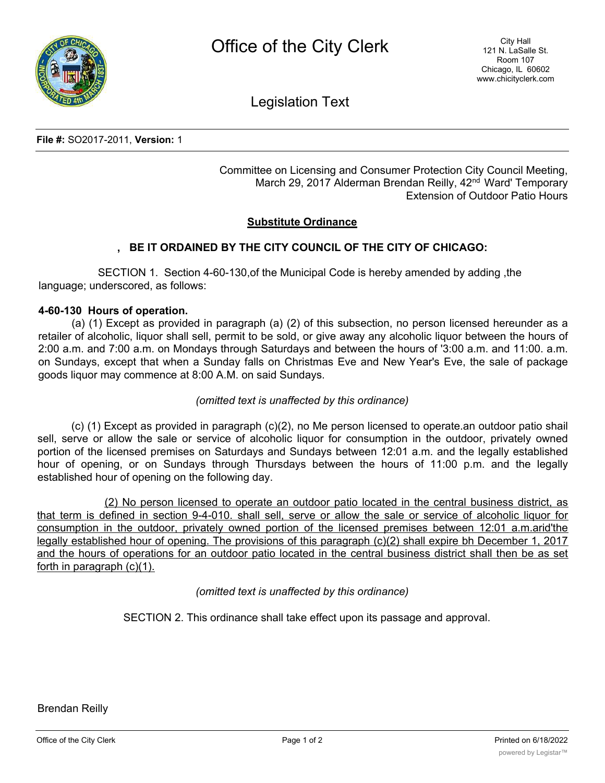

Legislation Text

**File #:** SO2017-2011, **Version:** 1

Committee on Licensing and Consumer Protection City Council Meeting, March 29, 2017 Alderman Brendan Reilly, 42<sup>nd</sup> Ward' Temporary Extension of Outdoor Patio Hours

## **Substitute Ordinance**

# **, BE IT ORDAINED BY THE CITY COUNCIL OF THE CITY OF CHICAGO:**

SECTION 1. Section 4-60-130,of the Municipal Code is hereby amended by adding ,the language; underscored, as follows:

### **4-60-130 Hours of operation.**

(a) (1) Except as provided in paragraph (a) (2) of this subsection, no person licensed hereunder as a retailer of alcoholic, liquor shall sell, permit to be sold, or give away any alcoholic liquor between the hours of 2:00 a.m. and 7:00 a.m. on Mondays through Saturdays and between the hours of '3:00 a.m. and 11:00. a.m. on Sundays, except that when a Sunday falls on Christmas Eve and New Year's Eve, the sale of package goods liquor may commence at 8:00 A.M. on said Sundays.

### *(omitted text is unaffected by this ordinance)*

(c) (1) Except as provided in paragraph (c)(2), no Me person licensed to operate.an outdoor patio shail sell, serve or allow the sale or service of alcoholic liquor for consumption in the outdoor, privately owned portion of the licensed premises on Saturdays and Sundays between 12:01 a.m. and the legally established hour of opening, or on Sundays through Thursdays between the hours of 11:00 p.m. and the legally established hour of opening on the following day.

(2) No person licensed to operate an outdoor patio located in the central business district, as that term is defined in section 9-4-010. shall sell, serve or allow the sale or service of alcoholic liquor for consumption in the outdoor, privately owned portion of the licensed premises between 12:01 a.m.arid'the legally established hour of opening. The provisions of this paragraph (c)(2) shall expire bh December 1, 2017 and the hours of operations for an outdoor patio located in the central business district shall then be as set forth in paragraph (c)(1).

### *(omitted text is unaffected by this ordinance)*

SECTION 2. This ordinance shall take effect upon its passage and approval.

Brendan Reilly